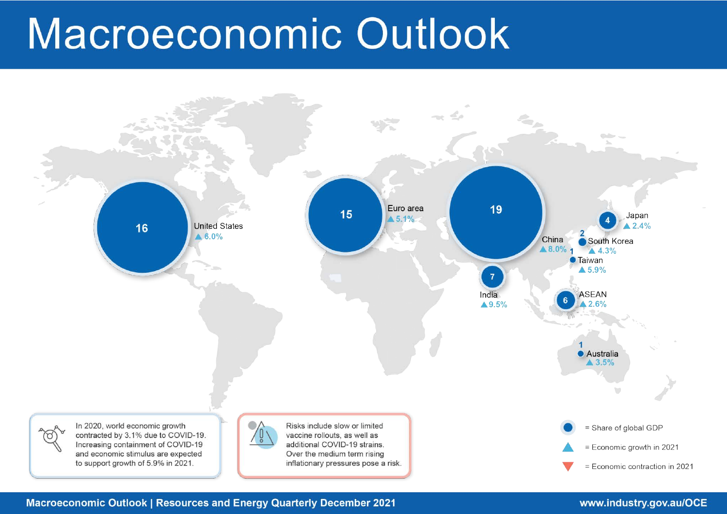# Macroeconomic Outlook



**Macroeconomic Outlook | Resources and Energy Quarterly December 2021** 

# www.industry.gov.au/OCE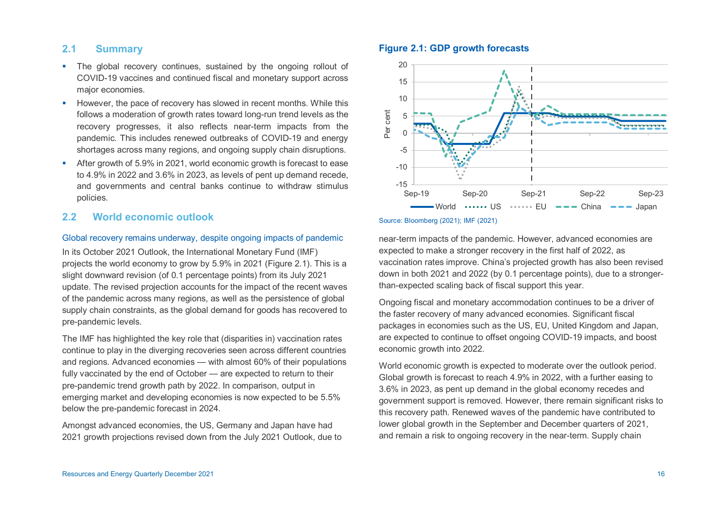# **2.1 Summary**

- The global recovery continues, sustained by the ongoing rollout of COVID-19 vaccines and continued fiscal and monetary support across major economies.
- However, the pace of recovery has slowed in recent months. While this follows a moderation of growth rates toward long-run trend levels as the recovery progresses, it also reflects near-term impacts from the pandemic. This includes renewed outbreaks of COVID-19 and energy shortages across many regions, and ongoing supply chain disruptions.
- After growth of 5.9% in 2021, world economic growth is forecast to ease to 4.9% in 2022 and 3.6% in 2023, as levels of pent up demand recede, and governments and central banks continue to withdraw stimulus policies.

# **2.2 World economic outlook**

#### Global recovery remains underway, despite ongoing impacts of pandemic

In its October 2021 Outlook, the International Monetary Fund (IMF) projects the world economy to grow by 5.9% in 2021 (Figure 2.1). This is a slight downward revision (of 0.1 percentage points) from its July 2021 update. The revised projection accounts for the impact of the recent waves of the pandemic across many regions, as well as the persistence of global supply chain constraints, as the global demand for goods has recovered to pre-pandemic levels.

The IMF has highlighted the key role that (disparities in) vaccination rates continue to play in the diverging recoveries seen across different countries and regions. Advanced economies — with almost 60% of their populations fully vaccinated by the end of October — are expected to return to their pre-pandemic trend growth path by 2022. In comparison, output in emerging market and developing economies is now expected to be 5.5% below the pre-pandemic forecast in 2024.

Amongst advanced economies, the US, Germany and Japan have had 2021 growth projections revised down from the July 2021 Outlook, due to

# **Figure 2.1: GDP growth forecasts**



#### Source: Bloomberg (2021); IMF (2021)

near-term impacts of the pandemic. However, advanced economies are expected to make a stronger recovery in the first half of 2022, as vaccination rates improve. China's projected growth has also been revised down in both 2021 and 2022 (by 0.1 percentage points), due to a strongerthan-expected scaling back of fiscal support this year.

Ongoing fiscal and monetary accommodation continues to be a driver of the faster recovery of many advanced economies. Significant fiscal packages in economies such as the US, EU, United Kingdom and Japan, are expected to continue to offset ongoing COVID-19 impacts, and boost economic growth into 2022.

World economic growth is expected to moderate over the outlook period. Global growth is forecast to reach 4.9% in 2022, with a further easing to 3.6% in 2023, as pent up demand in the global economy recedes and government support is removed. However, there remain significant risks to this recovery path. Renewed waves of the pandemic have contributed to lower global growth in the September and December quarters of 2021, and remain a risk to ongoing recovery in the near-term. Supply chain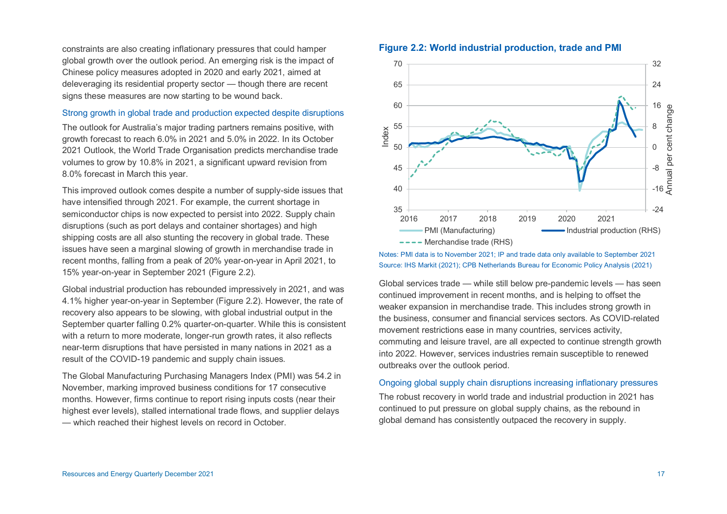constraints are also creating inflationary pressures that could hamper global growth over the outlook period. An emerging risk is the impact of Chinese policy measures adopted in 2020 and early 2021, aimed at deleveraging its residential property sector — though there are recent signs these measures are now starting to be wound back.

#### Strong growth in global trade and production expected despite disruptions

The outlook for Australia's major trading partners remains positive, with growth forecast to reach 6.0% in 2021 and 5.0% in 2022. In its October 2021 Outlook, the World Trade Organisation predicts merchandise trade volumes to grow by 10.8% in 2021, a significant upward revision from 8.0% forecast in March this year.

This improved outlook comes despite a number of supply-side issues that have intensified through 2021. For example, the current shortage in semiconductor chips is now expected to persist into 2022. Supply chain disruptions (such as port delays and container shortages) and high shipping costs are all also stunting the recovery in global trade. These issues have seen a marginal slowing of growth in merchandise trade in recent months, falling from a peak of 20% year-on-year in April 2021, to 15% year-on-year in September 2021 (Figure 2.2).

Global industrial production has rebounded impressively in 2021, and was 4.1% higher year-on-year in September (Figure 2.2). However, the rate of recovery also appears to be slowing, with global industrial output in the September quarter falling 0.2% quarter-on-quarter. While this is consistent with a return to more moderate, longer-run growth rates, it also reflects near-term disruptions that have persisted in many nations in 2021 as a result of the COVID-19 pandemic and supply chain issues*.*

The Global Manufacturing Purchasing Managers Index (PMI) was 54.2 in November, marking improved business conditions for 17 consecutive months. However, firms continue to report rising inputs costs (near their highest ever levels), stalled international trade flows, and supplier delays — which reached their highest levels on record in October.

## **Figure 2.2: World industrial production, trade and PMI**



Notes: PMI data is to November 2021; IP and trade data only available to September 2021 Source: IHS Markit (2021); CPB Netherlands Bureau for Economic Policy Analysis (2021)

Global services trade — while still below pre-pandemic levels — has seen continued improvement in recent months, and is helping to offset the weaker expansion in merchandise trade. This includes strong growth in the business, consumer and financial services sectors. As COVID-related movement restrictions ease in many countries, services activity, commuting and leisure travel, are all expected to continue strength growth into 2022. However, services industries remain susceptible to renewed outbreaks over the outlook period.

## Ongoing global supply chain disruptions increasing inflationary pressures

The robust recovery in world trade and industrial production in 2021 has continued to put pressure on global supply chains, as the rebound in global demand has consistently outpaced the recovery in supply.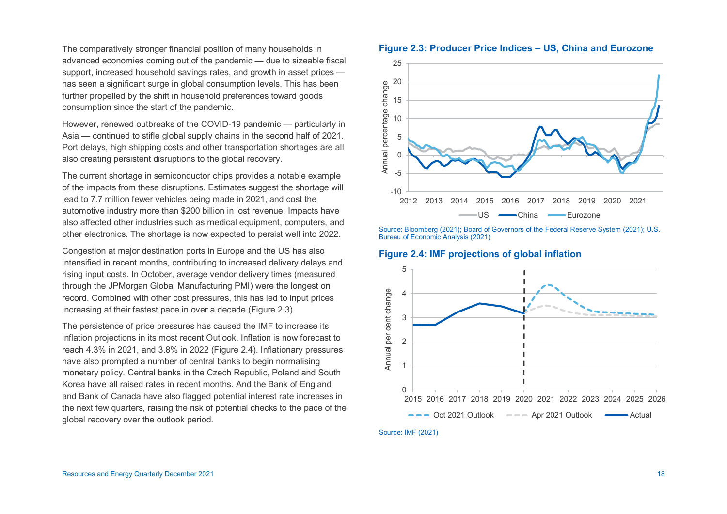The comparatively stronger financial position of many households in advanced economies coming out of the pandemic — due to sizeable fiscal support, increased household savings rates, and growth in asset prices has seen a significant surge in global consumption levels. This has been further propelled by the shift in household preferences toward goods consumption since the start of the pandemic.

However, renewed outbreaks of the COVID-19 pandemic — particularly in Asia — continued to stifle global supply chains in the second half of 2021. Port delays, high shipping costs and other transportation shortages are all also creating persistent disruptions to the global recovery.

The current shortage in semiconductor chips provides a notable example of the impacts from these disruptions. Estimates suggest the shortage will lead to 7.7 million fewer vehicles being made in 2021, and cost the automotive industry more than \$200 billion in lost revenue. Impacts have also affected other industries such as medical equipment, computers, and other electronics. The shortage is now expected to persist well into 2022.

Congestion at major destination ports in Europe and the US has also intensified in recent months, contributing to increased delivery delays and rising input costs. In October, average vendor delivery times (measured through the JPMorgan Global Manufacturing PMI) were the longest on record. Combined with other cost pressures, this has led to input prices increasing at their fastest pace in over a decade (Figure 2.3).

The persistence of price pressures has caused the IMF to increase its inflation projections in its most recent Outlook. Inflation is now forecast to reach 4.3% in 2021, and 3.8% in 2022 (Figure 2.4). Inflationary pressures have also prompted a number of central banks to begin normalising monetary policy. Central banks in the Czech Republic, Poland and South Korea have all raised rates in recent months. And the Bank of England and Bank of Canada have also flagged potential interest rate increases in the next few quarters, raising the risk of potential checks to the pace of the global recovery over the outlook period.





Source: Bloomberg (2021); Board of Governors of the Federal Reserve System (2021); U.S. Bureau of Economic Analysis (2021)

**Figure 2.4: IMF projections of global inflation** 



Source: IMF (2021)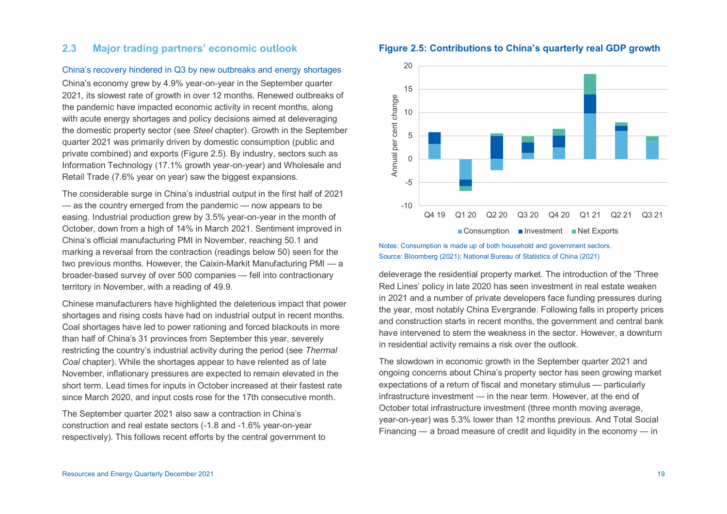# **2.3 Major trading partners' economic outlook**

### China's recovery hindered in Q3 by new outbreaks and energy shortages

China's economy grew by 4.9% year-on-year in the September quarter 2021, its slowest rate of growth in over 12 months. Renewed outbreaks of the pandemic have impacted economic activity in recent months, along with acute energy shortages and policy decisions aimed at deleveraging the domestic property sector (see *Steel* chapter). Growth in the September quarter 2021 was primarily driven by domestic consumption (public and private combined) and exports (Figure 2.5). By industry, sectors such as Information Technology (17.1% growth year-on-year) and Wholesale and Retail Trade (7.6% year on year) saw the biggest expansions.

The considerable surge in China's industrial output in the first half of 2021 — as the country emerged from the pandemic — now appears to be easing. Industrial production grew by 3.5% year-on-year in the month of October, down from a high of 14% in March 2021. Sentiment improved in China's official manufacturing PMI in November, reaching 50.1 and marking a reversal from the contraction (readings below 50) seen for the two previous months. However, the Caixin-Markit Manufacturing PMI — a broader-based survey of over 500 companies — fell into contractionary territory in November, with a reading of 49.9.

Chinese manufacturers have highlighted the deleterious impact that power shortages and rising costs have had on industrial output in recent months. Coal shortages have led to power rationing and forced blackouts in more than half of China's 31 provinces from September this year, severely restricting the country's industrial activity during the period (see *Thermal Coal* chapter). While the shortages appear to have relented as of late November, inflationary pressures are expected to remain elevated in the short term. Lead times for inputs in October increased at their fastest rate since March 2020, and input costs rose for the 17th consecutive month.

The September quarter 2021 also saw a contraction in China's construction and real estate sectors (-1.8 and -1.6% year-on-year respectively). This follows recent efforts by the central government to





Notes: Consumption is made up of both household and government sectors. Source: Bloomberg (2021); National Bureau of Statistics of China (2021)

deleverage the residential property market. The introduction of the 'Three Red Lines' policy in late 2020 has seen investment in real estate weaken in 2021 and a number of private developers face funding pressures during the year, most notably China Evergrande. Following falls in property prices and construction starts in recent months, the government and central bank have intervened to stem the weakness in the sector. However, a downturn in residential activity remains a risk over the outlook.

The slowdown in economic growth in the September quarter 2021 and ongoing concerns about China's property sector has seen growing market expectations of a return of fiscal and monetary stimulus — particularly infrastructure investment — in the near term. However, at the end of October total infrastructure investment (three month moving average, year-on-year) was 5.3% lower than 12 months previous. And Total Social Financing — a broad measure of credit and liquidity in the economy — in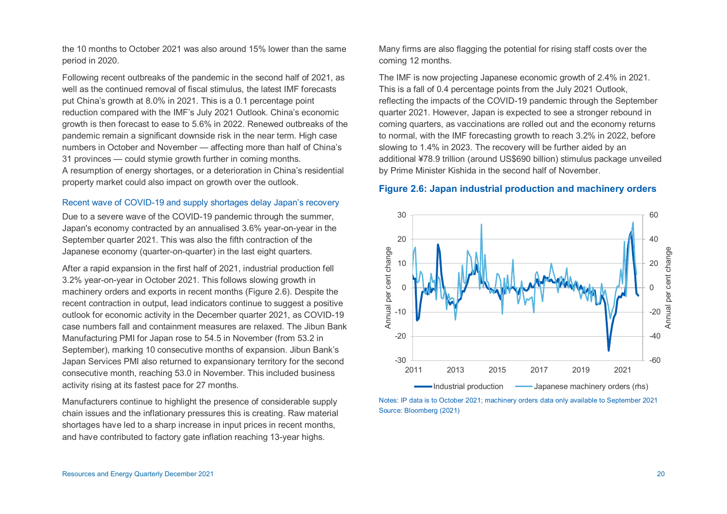the 10 months to October 2021 was also around 15% lower than the same period in 2020.

Following recent outbreaks of the pandemic in the second half of 2021, as well as the continued removal of fiscal stimulus, the latest IMF forecasts put China's growth at 8.0% in 2021. This is a 0.1 percentage point reduction compared with the IMF's July 2021 Outlook. China's economic growth is then forecast to ease to 5.6% in 2022. Renewed outbreaks of the pandemic remain a significant downside risk in the near term. High case numbers in October and November — affecting more than half of China's 31 provinces — could stymie growth further in coming months. A resumption of energy shortages, or a deterioration in China's residential property market could also impact on growth over the outlook.

#### Recent wave of COVID-19 and supply shortages delay Japan's recovery

Due to a severe wave of the COVID-19 pandemic through the summer, Japan's economy contracted by an annualised 3.6% year-on-year in the September quarter 2021. This was also the fifth contraction of the Japanese economy (quarter-on-quarter) in the last eight quarters.

After a rapid expansion in the first half of 2021, industrial production fell 3.2% year-on-year in October 2021. This follows slowing growth in machinery orders and exports in recent months (Figure 2.6). Despite the recent contraction in output, lead indicators continue to suggest a positive outlook for economic activity in the December quarter 2021, as COVID-19 case numbers fall and containment measures are relaxed. The Jibun Bank Manufacturing PMI for Japan rose to 54.5 in November (from 53.2 in September), marking 10 consecutive months of expansion. Jibun Bank's Japan Services PMI also returned to expansionary territory for the second consecutive month, reaching 53.0 in November. This included business activity rising at its fastest pace for 27 months.

Manufacturers continue to highlight the presence of considerable supply chain issues and the inflationary pressures this is creating. Raw material shortages have led to a sharp increase in input prices in recent months, and have contributed to factory gate inflation reaching 13-year highs.

Many firms are also flagging the potential for rising staff costs over the coming 12 months.

The IMF is now projecting Japanese economic growth of 2.4% in 2021. This is a fall of 0.4 percentage points from the July 2021 Outlook, reflecting the impacts of the COVID-19 pandemic through the September quarter 2021. However, Japan is expected to see a stronger rebound in coming quarters, as vaccinations are rolled out and the economy returns to normal, with the IMF forecasting growth to reach 3.2% in 2022, before slowing to 1.4% in 2023. The recovery will be further aided by an additional ¥78.9 trillion (around US\$690 billion) stimulus package unveiled by Prime Minister Kishida in the second half of November.

# **Figure 2.6: Japan industrial production and machinery orders**



Notes: IP data is to October 2021; machinery orders data only available to September 2021 Source: Bloomberg (2021)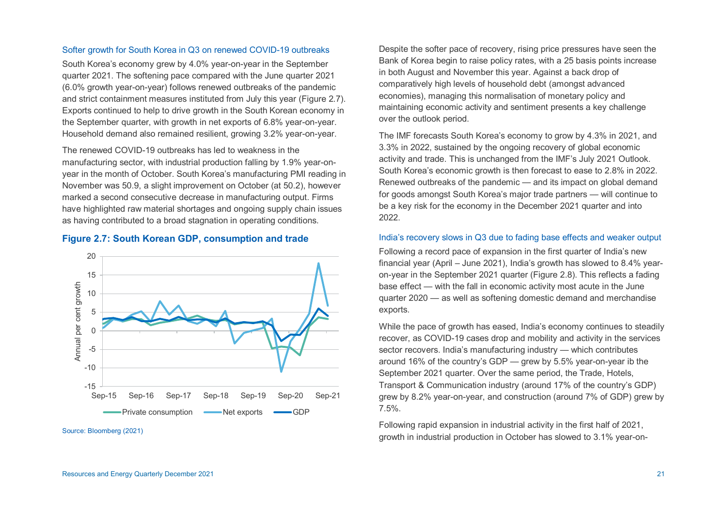#### Softer growth for South Korea in Q3 on renewed COVID-19 outbreaks

South Korea's economy grew by 4.0% year-on-year in the September quarter 2021. The softening pace compared with the June quarter 2021 (6.0% growth year-on-year) follows renewed outbreaks of the pandemic and strict containment measures instituted from July this year (Figure 2.7). Exports continued to help to drive growth in the South Korean economy in the September quarter, with growth in net exports of 6.8% year-on-year. Household demand also remained resilient, growing 3.2% year-on-year.

The renewed COVID-19 outbreaks has led to weakness in the manufacturing sector, with industrial production falling by 1.9% year-onyear in the month of October. South Korea's manufacturing PMI reading in November was 50.9, a slight improvement on October (at 50.2), however marked a second consecutive decrease in manufacturing output. Firms have highlighted raw material shortages and ongoing supply chain issues as having contributed to a broad stagnation in operating conditions.

# **Figure 2.7: South Korean GDP, consumption and trade**



Source: Bloomberg (2021)

Despite the softer pace of recovery, rising price pressures have seen the Bank of Korea begin to raise policy rates, with a 25 basis points increase in both August and November this year. Against a back drop of comparatively high levels of household debt (amongst advanced economies), managing this normalisation of monetary policy and maintaining economic activity and sentiment presents a key challenge over the outlook period.

The IMF forecasts South Korea's economy to grow by 4.3% in 2021, and 3.3% in 2022, sustained by the ongoing recovery of global economic activity and trade. This is unchanged from the IMF's July 2021 Outlook. South Korea's economic growth is then forecast to ease to 2.8% in 2022. Renewed outbreaks of the pandemic — and its impact on global demand for goods amongst South Korea's major trade partners — will continue to be a key risk for the economy in the December 2021 quarter and into 2022.

## India's recovery slows in Q3 due to fading base effects and weaker output

Following a record pace of expansion in the first quarter of India's new financial year (April – June 2021), India's growth has slowed to 8.4% yearon-year in the September 2021 quarter (Figure 2.8). This reflects a fading base effect — with the fall in economic activity most acute in the June quarter 2020 — as well as softening domestic demand and merchandise exports.

While the pace of growth has eased, India's economy continues to steadily recover, as COVID-19 cases drop and mobility and activity in the services sector recovers. India's manufacturing industry — which contributes around 16% of the country's GDP — grew by 5.5% year-on-year ib the September 2021 quarter. Over the same period, the Trade, Hotels, Transport & Communication industry (around 17% of the country's GDP) grew by 8.2% year-on-year, and construction (around 7% of GDP) grew by 7.5%.

Following rapid expansion in industrial activity in the first half of 2021, growth in industrial production in October has slowed to 3.1% year-on-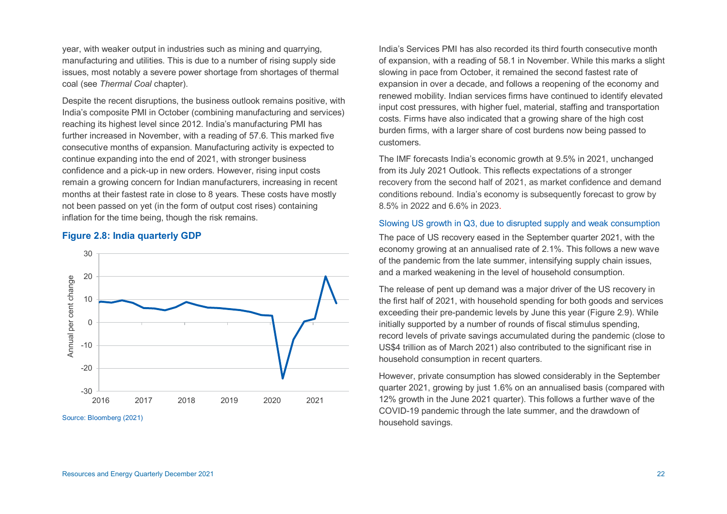year, with weaker output in industries such as mining and quarrying, manufacturing and utilities. This is due to a number of rising supply side issues, most notably a severe power shortage from shortages of thermal coal (see *Thermal Coal* chapter).

Despite the recent disruptions, the business outlook remains positive, with India's composite PMI in October (combining manufacturing and services) reaching its highest level since 2012. India's manufacturing PMI has further increased in November, with a reading of 57.6. This marked five consecutive months of expansion. Manufacturing activity is expected to continue expanding into the end of 2021, with stronger business confidence and a pick-up in new orders. However, rising input costs remain a growing concern for Indian manufacturers, increasing in recent months at their fastest rate in close to 8 years. These costs have mostly not been passed on yet (in the form of output cost rises) containing inflation for the time being, though the risk remains.

## **Figure 2.8: India quarterly GDP**



Source: Bloomberg (2021)

India's Services PMI has also recorded its third fourth consecutive month of expansion, with a reading of 58.1 in November. While this marks a slight slowing in pace from October, it remained the second fastest rate of expansion in over a decade, and follows a reopening of the economy and renewed mobility. Indian services firms have continued to identify elevated input cost pressures, with higher fuel, material, staffing and transportation costs. Firms have also indicated that a growing share of the high cost burden firms, with a larger share of cost burdens now being passed to customers.

The IMF forecasts India's economic growth at 9.5% in 2021, unchanged from its July 2021 Outlook. This reflects expectations of a stronger recovery from the second half of 2021, as market confidence and demand conditions rebound. India's economy is subsequently forecast to grow by 8.5% in 2022 and 6.6% in 2023.

#### Slowing US growth in Q3, due to disrupted supply and weak consumption

The pace of US recovery eased in the September quarter 2021, with the economy growing at an annualised rate of 2.1%. This follows a new wave of the pandemic from the late summer, intensifying supply chain issues, and a marked weakening in the level of household consumption.

The release of pent up demand was a major driver of the US recovery in the first half of 2021, with household spending for both goods and services exceeding their pre-pandemic levels by June this year (Figure 2.9). While initially supported by a number of rounds of fiscal stimulus spending, record levels of private savings accumulated during the pandemic (close to US\$4 trillion as of March 2021) also contributed to the significant rise in household consumption in recent quarters.

However, private consumption has slowed considerably in the September quarter 2021, growing by just 1.6% on an annualised basis (compared with 12% growth in the June 2021 quarter). This follows a further wave of the COVID-19 pandemic through the late summer, and the drawdown of household savings.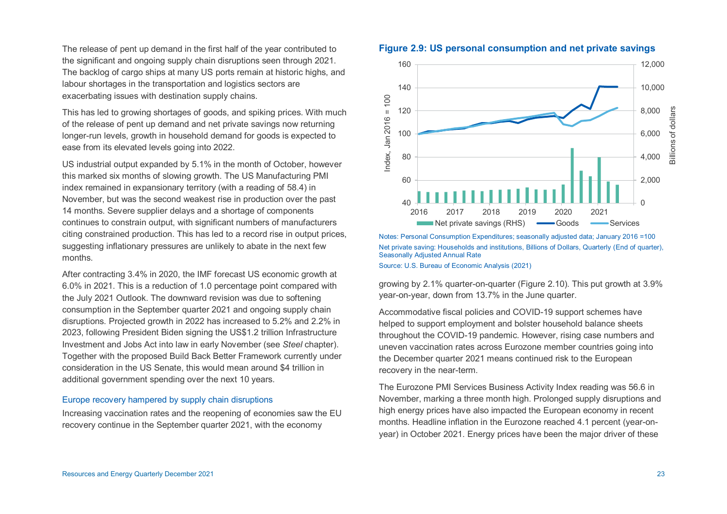The release of pent up demand in the first half of the year contributed to the significant and ongoing supply chain disruptions seen through 2021. The backlog of cargo ships at many US ports remain at historic highs, and labour shortages in the transportation and logistics sectors are exacerbating issues with destination supply chains.

This has led to growing shortages of goods, and spiking prices. With much of the release of pent up demand and net private savings now returning longer-run levels, growth in household demand for goods is expected to ease from its elevated levels going into 2022.

US industrial output expanded by 5.1% in the month of October, however this marked six months of slowing growth. The US Manufacturing PMI index remained in expansionary territory (with a reading of 58.4) in November, but was the second weakest rise in production over the past 14 months. Severe supplier delays and a shortage of components continues to constrain output, with significant numbers of manufacturers citing constrained production. This has led to a record rise in output prices, suggesting inflationary pressures are unlikely to abate in the next few months.

After contracting 3.4% in 2020, the IMF forecast US economic growth at 6.0% in 2021. This is a reduction of 1.0 percentage point compared with the July 2021 Outlook. The downward revision was due to softening consumption in the September quarter 2021 and ongoing supply chain disruptions. Projected growth in 2022 has increased to 5.2% and 2.2% in 2023, following President Biden signing the US\$1.2 trillion Infrastructure Investment and Jobs Act into law in early November (see *Steel* chapter). Together with the proposed Build Back Better Framework currently under consideration in the US Senate, this would mean around \$4 trillion in additional government spending over the next 10 years.

## Europe recovery hampered by supply chain disruptions

Increasing vaccination rates and the reopening of economies saw the EU recovery continue in the September quarter 2021, with the economy



**Figure 2.9: US personal consumption and net private savings** 

Notes: Personal Consumption Expenditures; seasonally adjusted data; January 2016 =100 Net private saving: Households and institutions, Billions of Dollars, Quarterly (End of quarter), Seasonally Adjusted Annual Rate Source: U.S. Bureau of Economic Analysis (2021)

growing by 2.1% quarter-on-quarter (Figure 2.10). This put growth at 3.9% year-on-year, down from 13.7% in the June quarter.

Accommodative fiscal policies and COVID-19 support schemes have helped to support employment and bolster household balance sheets throughout the COVID-19 pandemic. However, rising case numbers and uneven vaccination rates across Eurozone member countries going into the December quarter 2021 means continued risk to the European recovery in the near-term.

The Eurozone PMI Services Business Activity Index reading was 56.6 in November, marking a three month high. Prolonged supply disruptions and high energy prices have also impacted the European economy in recent months. Headline inflation in the Eurozone reached 4.1 percent (year-onyear) in October 2021. Energy prices have been the major driver of these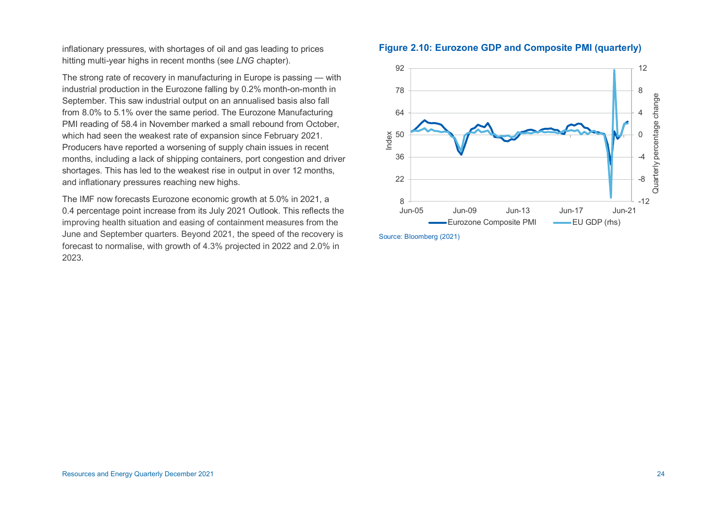inflationary pressures, with shortages of oil and gas leading to prices hitting multi-year highs in recent months (see *LNG* chapter).

The strong rate of recovery in manufacturing in Europe is passing — with industrial production in the Eurozone falling by 0.2% month-on-month in September. This saw industrial output on an annualised basis also fall from 8.0% to 5.1% over the same period. The Eurozone Manufacturing PMI reading of 58.4 in November marked a small rebound from October, which had seen the weakest rate of expansion since February 2021. Producers have reported a worsening of supply chain issues in recent months, including a lack of shipping containers, port congestion and driver shortages. This has led to the weakest rise in output in over 12 months, and inflationary pressures reaching new highs.

The IMF now forecasts Eurozone economic growth at 5.0% in 2021, a 0.4 percentage point increase from its July 2021 Outlook. This reflects the improving health situation and easing of containment measures from the June and September quarters. Beyond 2021, the speed of the recovery is forecast to normalise, with growth of 4.3% projected in 2022 and 2.0% in 2023.

# **Figure 2.10: Eurozone GDP and Composite PMI (quarterly)**



Source: Bloomberg (2021)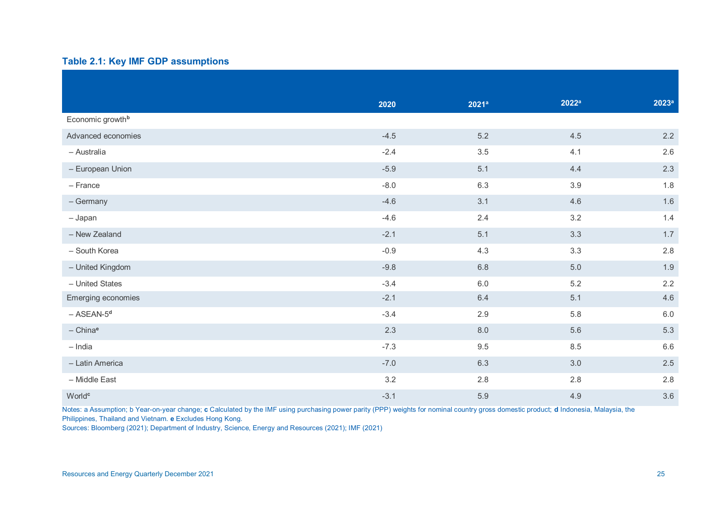# **Table 2.1: Key IMF GDP assumptions**

|                              | 2020   | 2021a   | 2022 <sup>a</sup> | 2023a            |
|------------------------------|--------|---------|-------------------|------------------|
| Economic growth <sup>b</sup> |        |         |                   |                  |
| Advanced economies           | $-4.5$ | $5.2$   | 4.5               | 2.2              |
| - Australia                  | $-2.4$ | 3.5     | 4.1               | $2.6\phantom{0}$ |
| - European Union             | $-5.9$ | 5.1     | 4.4               | 2.3              |
| - France                     | $-8.0$ | 6.3     | $3.9\,$           | 1.8              |
| - Germany                    | $-4.6$ | 3.1     | 4.6               | 1.6              |
| - Japan                      | $-4.6$ | 2.4     | 3.2               | 1.4              |
| - New Zealand                | $-2.1$ | 5.1     | 3.3               | 1.7              |
| - South Korea                | $-0.9$ | 4.3     | 3.3               | $2.8\,$          |
| - United Kingdom             | $-9.8$ | 6.8     | $5.0\,$           | 1.9              |
| - United States              | $-3.4$ | $6.0\,$ | 5.2               | 2.2              |
| Emerging economies           | $-2.1$ | 6.4     | 5.1               | 4.6              |
| $-$ ASEAN- $5d$              | $-3.4$ | 2.9     | 5.8               | $6.0\,$          |
| $-$ China <sup>e</sup>       | 2.3    | $8.0\,$ | 5.6               | 5.3              |
| $-$ India                    | $-7.3$ | 9.5     | 8.5               | $6.6\,$          |
| - Latin America              | $-7.0$ | 6.3     | 3.0               | 2.5              |
| - Middle East                | 3.2    | 2.8     | $2.8\,$           | 2.8              |
| World <sup>c</sup>           | $-3.1$ | 5.9     | 4.9               | 3.6              |

Notes: a Assumption; b Year-on-year change; **c** Calculated by the IMF using purchasing power parity (PPP) weights for nominal country gross domestic product; **d** Indonesia, Malaysia, the Philippines, Thailand and Vietnam. **e** Excludes Hong Kong.

Sources: Bloomberg (2021); Department of Industry, Science, Energy and Resources (2021); IMF (2021)